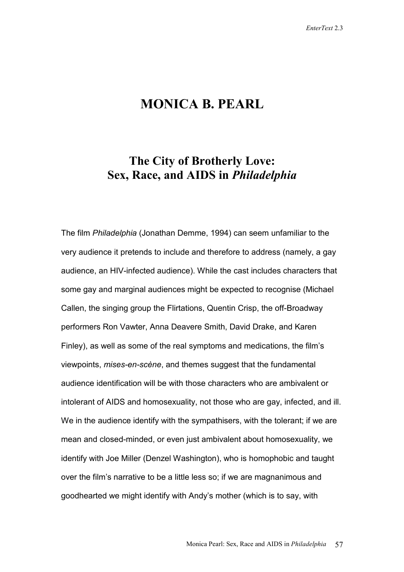# **MONICA B. PEARL**

## **The City of Brotherly Love: Sex, Race, and AIDS in** *Philadelphia*

The film *Philadelphia* (Jonathan Demme, 1994) can seem unfamiliar to the very audience it pretends to include and therefore to address (namely, a gay audience, an HIV-infected audience). While the cast includes characters that some gay and marginal audiences might be expected to recognise (Michael Callen, the singing group the Flirtations, Quentin Crisp, the off-Broadway performers Ron Vawter, Anna Deavere Smith, David Drake, and Karen Finley), as well as some of the real symptoms and medications, the film's viewpoints, *mises-en-scène*, and themes suggest that the fundamental audience identification will be with those characters who are ambivalent or intolerant of AIDS and homosexuality, not those who are gay, infected, and ill. We in the audience identify with the sympathisers, with the tolerant; if we are mean and closed-minded, or even just ambivalent about homosexuality, we identify with Joe Miller (Denzel Washington), who is homophobic and taught over the film's narrative to be a little less so; if we are magnanimous and goodhearted we might identify with Andy's mother (which is to say, with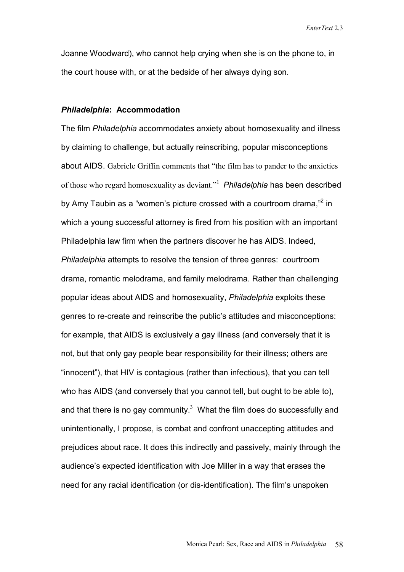Joanne Woodward), who cannot help crying when she is on the phone to, in the court house with, or at the bedside of her always dying son.

## *Philadelphia***: Accommodation**

The film *Philadelphia* accommodates anxiety about homosexuality and illness by claiming to challenge, but actually reinscribing, popular misconceptions about AIDS. Gabriele Griffin comments that "the film has to pander to the anxieties of those who regard homosexuality as deviant."<sup>1</sup> Philadelphia has been described by Amy Taubin as a "women's picture crossed with a courtroom drama,"<sup>2</sup> in which a young successful attorney is fired from his position with an important Philadelphia law firm when the partners discover he has AIDS. Indeed, *Philadelphia* attempts to resolve the tension of three genres: courtroom drama, romantic melodrama, and family melodrama. Rather than challenging popular ideas about AIDS and homosexuality, *Philadelphia* exploits these genres to re-create and reinscribe the public's attitudes and misconceptions: for example, that AIDS is exclusively a gay illness (and conversely that it is not, but that only gay people bear responsibility for their illness; others are "innocent"), that HIV is contagious (rather than infectious), that you can tell who has AIDS (and conversely that you cannot tell, but ought to be able to), and that there is no gay community. $3$  What the film does do successfully and unintentionally, I propose, is combat and confront unaccepting attitudes and prejudices about race. It does this indirectly and passively, mainly through the audience's expected identification with Joe Miller in a way that erases the need for any racial identification (or dis-identification). The film's unspoken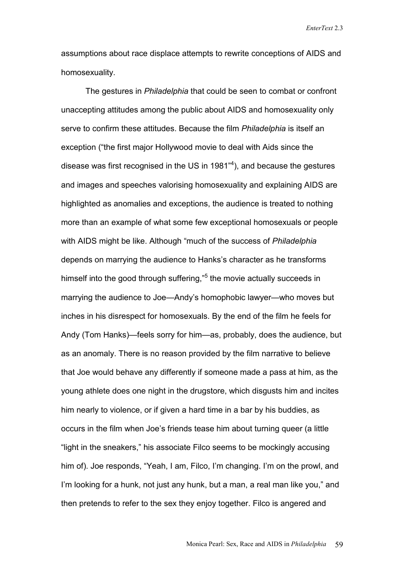assumptions about race displace attempts to rewrite conceptions of AIDS and homosexuality.

 The gestures in *Philadelphia* that could be seen to combat or confront unaccepting attitudes among the public about AIDS and homosexuality only serve to confirm these attitudes. Because the film *Philadelphia* is itself an exception ("the first major Hollywood movie to deal with Aids since the disease was first recognised in the US in 1981<sup>"4</sup>), and because the gestures and images and speeches valorising homosexuality and explaining AIDS are highlighted as anomalies and exceptions, the audience is treated to nothing more than an example of what some few exceptional homosexuals or people with AIDS might be like. Although "much of the success of *Philadelphia* depends on marrying the audience to Hanks's character as he transforms himself into the good through suffering,"<sup>5</sup> the movie actually succeeds in marrying the audience to Joe—Andy's homophobic lawyer—who moves but inches in his disrespect for homosexuals. By the end of the film he feels for Andy (Tom Hanks)—feels sorry for him—as, probably, does the audience, but as an anomaly. There is no reason provided by the film narrative to believe that Joe would behave any differently if someone made a pass at him, as the young athlete does one night in the drugstore, which disgusts him and incites him nearly to violence, or if given a hard time in a bar by his buddies, as occurs in the film when Joe's friends tease him about turning queer (a little "light in the sneakers," his associate Filco seems to be mockingly accusing him of). Joe responds, "Yeah, I am, Filco, I'm changing. I'm on the prowl, and I'm looking for a hunk, not just any hunk, but a man, a real man like you," and then pretends to refer to the sex they enjoy together. Filco is angered and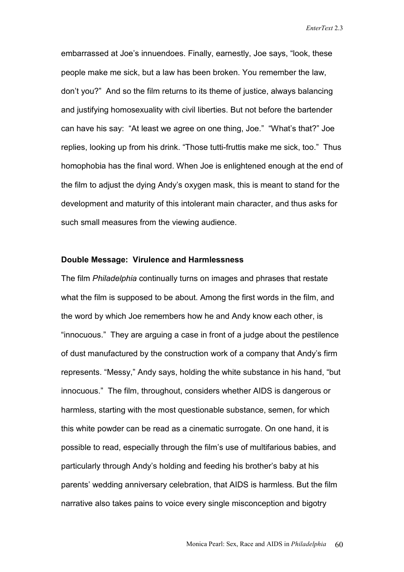embarrassed at Joe's innuendoes. Finally, earnestly, Joe says, "look, these people make me sick, but a law has been broken. You remember the law, don't you?" And so the film returns to its theme of justice, always balancing and justifying homosexuality with civil liberties. But not before the bartender can have his say: "At least we agree on one thing, Joe." "What's that?" Joe replies, looking up from his drink. "Those tutti-fruttis make me sick, too." Thus homophobia has the final word. When Joe is enlightened enough at the end of the film to adjust the dying Andy's oxygen mask, this is meant to stand for the development and maturity of this intolerant main character, and thus asks for such small measures from the viewing audience.

### **Double Message: Virulence and Harmlessness**

The film *Philadelphia* continually turns on images and phrases that restate what the film is supposed to be about. Among the first words in the film, and the word by which Joe remembers how he and Andy know each other, is "innocuous." They are arguing a case in front of a judge about the pestilence of dust manufactured by the construction work of a company that Andy's firm represents. "Messy," Andy says, holding the white substance in his hand, "but innocuous." The film, throughout, considers whether AIDS is dangerous or harmless, starting with the most questionable substance, semen, for which this white powder can be read as a cinematic surrogate. On one hand, it is possible to read, especially through the film's use of multifarious babies, and particularly through Andy's holding and feeding his brother's baby at his parents' wedding anniversary celebration, that AIDS is harmless. But the film narrative also takes pains to voice every single misconception and bigotry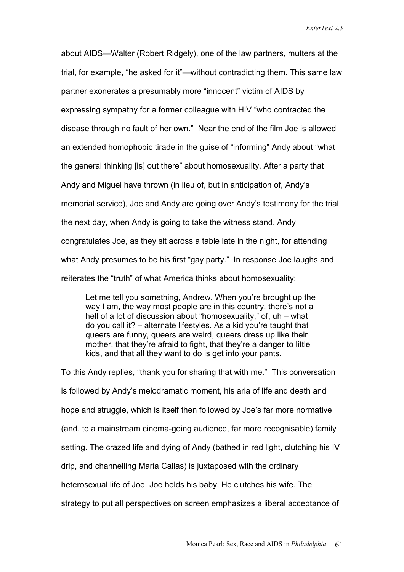about AIDS—Walter (Robert Ridgely), one of the law partners, mutters at the trial, for example, "he asked for it"—without contradicting them. This same law partner exonerates a presumably more "innocent" victim of AIDS by expressing sympathy for a former colleague with HIV "who contracted the disease through no fault of her own." Near the end of the film Joe is allowed an extended homophobic tirade in the guise of "informing" Andy about "what the general thinking [is] out there" about homosexuality. After a party that Andy and Miguel have thrown (in lieu of, but in anticipation of, Andy's memorial service), Joe and Andy are going over Andy's testimony for the trial the next day, when Andy is going to take the witness stand. Andy congratulates Joe, as they sit across a table late in the night, for attending what Andy presumes to be his first "gay party." In response Joe laughs and reiterates the "truth" of what America thinks about homosexuality:

Let me tell you something, Andrew. When you're brought up the way I am, the way most people are in this country, there's not a hell of a lot of discussion about "homosexuality," of, uh – what do you call it? – alternate lifestyles. As a kid you're taught that queers are funny, queers are weird, queers dress up like their mother, that they're afraid to fight, that they're a danger to little kids, and that all they want to do is get into your pants.

To this Andy replies, "thank you for sharing that with me." This conversation is followed by Andy's melodramatic moment, his aria of life and death and hope and struggle, which is itself then followed by Joe's far more normative (and, to a mainstream cinema-going audience, far more recognisable) family setting. The crazed life and dying of Andy (bathed in red light, clutching his IV drip, and channelling Maria Callas) is juxtaposed with the ordinary heterosexual life of Joe. Joe holds his baby. He clutches his wife. The strategy to put all perspectives on screen emphasizes a liberal acceptance of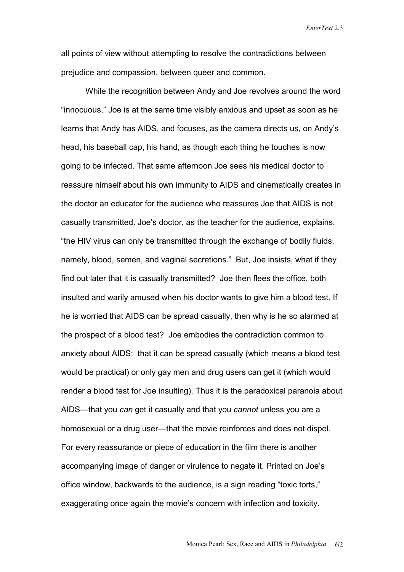all points of view without attempting to resolve the contradictions between prejudice and compassion, between queer and common.

 While the recognition between Andy and Joe revolves around the word "innocuous," Joe is at the same time visibly anxious and upset as soon as he learns that Andy has AIDS, and focuses, as the camera directs us, on Andy's head, his baseball cap, his hand, as though each thing he touches is now going to be infected. That same afternoon Joe sees his medical doctor to reassure himself about his own immunity to AIDS and cinematically creates in the doctor an educator for the audience who reassures Joe that AIDS is not casually transmitted. Joe's doctor, as the teacher for the audience, explains, "the HIV virus can only be transmitted through the exchange of bodily fluids, namely, blood, semen, and vaginal secretions." But, Joe insists, what if they find out later that it is casually transmitted? Joe then flees the office, both insulted and warily amused when his doctor wants to give him a blood test. If he is worried that AIDS can be spread casually, then why is he so alarmed at the prospect of a blood test? Joe embodies the contradiction common to anxiety about AIDS: that it can be spread casually (which means a blood test would be practical) or only gay men and drug users can get it (which would render a blood test for Joe insulting). Thus it is the paradoxical paranoia about AIDS—that you *can* get it casually and that you *cannot* unless you are a homosexual or a drug user—that the movie reinforces and does not dispel. For every reassurance or piece of education in the film there is another accompanying image of danger or virulence to negate it. Printed on Joe's office window, backwards to the audience, is a sign reading "toxic torts," exaggerating once again the movie's concern with infection and toxicity.

Monica Pearl: Sex, Race and AIDS in *Philadelphia* 62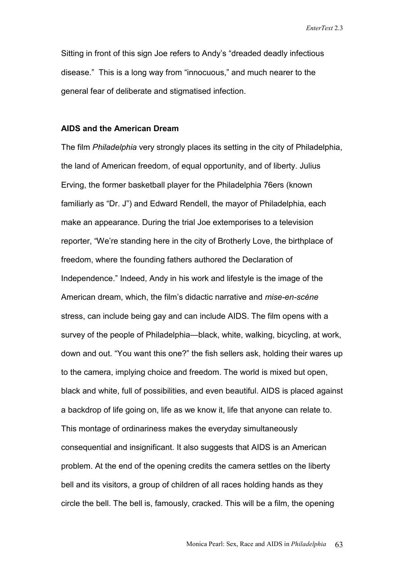Sitting in front of this sign Joe refers to Andy's "dreaded deadly infectious disease." This is a long way from "innocuous," and much nearer to the general fear of deliberate and stigmatised infection.

#### **AIDS and the American Dream**

The film *Philadelphia* very strongly places its setting in the city of Philadelphia, the land of American freedom, of equal opportunity, and of liberty. Julius Erving, the former basketball player for the Philadelphia 76ers (known familiarly as "Dr. J") and Edward Rendell, the mayor of Philadelphia, each make an appearance. During the trial Joe extemporises to a television reporter, "We're standing here in the city of Brotherly Love, the birthplace of freedom, where the founding fathers authored the Declaration of Independence." Indeed, Andy in his work and lifestyle is the image of the American dream, which, the film's didactic narrative and *mise-en-scène* stress, can include being gay and can include AIDS. The film opens with a survey of the people of Philadelphia—black, white, walking, bicycling, at work, down and out. "You want this one?" the fish sellers ask, holding their wares up to the camera, implying choice and freedom. The world is mixed but open, black and white, full of possibilities, and even beautiful. AIDS is placed against a backdrop of life going on, life as we know it, life that anyone can relate to. This montage of ordinariness makes the everyday simultaneously consequential and insignificant. It also suggests that AIDS is an American problem. At the end of the opening credits the camera settles on the liberty bell and its visitors, a group of children of all races holding hands as they circle the bell. The bell is, famously, cracked. This will be a film, the opening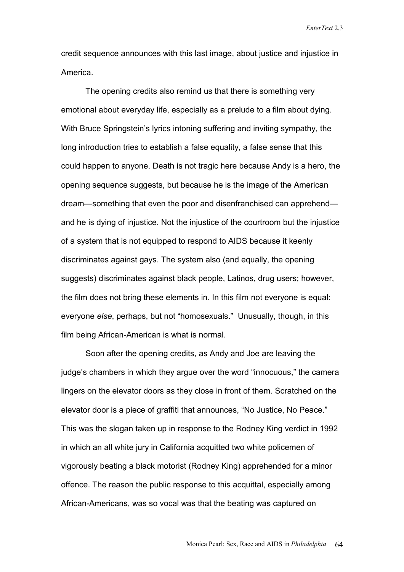credit sequence announces with this last image, about justice and injustice in America.

 The opening credits also remind us that there is something very emotional about everyday life, especially as a prelude to a film about dying. With Bruce Springstein's lyrics intoning suffering and inviting sympathy, the long introduction tries to establish a false equality, a false sense that this could happen to anyone. Death is not tragic here because Andy is a hero, the opening sequence suggests, but because he is the image of the American dream—something that even the poor and disenfranchised can apprehend and he is dying of injustice. Not the injustice of the courtroom but the injustice of a system that is not equipped to respond to AIDS because it keenly discriminates against gays. The system also (and equally, the opening suggests) discriminates against black people, Latinos, drug users; however, the film does not bring these elements in. In this film not everyone is equal: everyone *else*, perhaps, but not "homosexuals." Unusually, though, in this film being African-American is what is normal.

 Soon after the opening credits, as Andy and Joe are leaving the judge's chambers in which they argue over the word "innocuous," the camera lingers on the elevator doors as they close in front of them. Scratched on the elevator door is a piece of graffiti that announces, "No Justice, No Peace." This was the slogan taken up in response to the Rodney King verdict in 1992 in which an all white jury in California acquitted two white policemen of vigorously beating a black motorist (Rodney King) apprehended for a minor offence. The reason the public response to this acquittal, especially among African-Americans, was so vocal was that the beating was captured on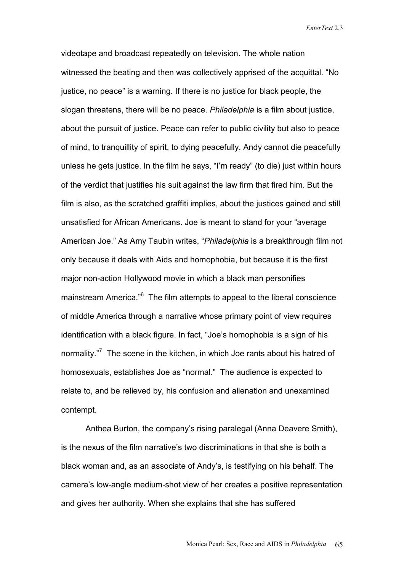videotape and broadcast repeatedly on television. The whole nation witnessed the beating and then was collectively apprised of the acquittal. "No justice, no peace" is a warning. If there is no justice for black people, the slogan threatens, there will be no peace. *Philadelphia* is a film about justice, about the pursuit of justice. Peace can refer to public civility but also to peace of mind, to tranquillity of spirit, to dying peacefully. Andy cannot die peacefully unless he gets justice. In the film he says, "I'm ready" (to die) just within hours of the verdict that justifies his suit against the law firm that fired him. But the film is also, as the scratched graffiti implies, about the justices gained and still unsatisfied for African Americans. Joe is meant to stand for your "average American Joe." As Amy Taubin writes, "*Philadelphia* is a breakthrough film not only because it deals with Aids and homophobia, but because it is the first major non-action Hollywood movie in which a black man personifies mainstream America."<sup>6</sup> The film attempts to appeal to the liberal conscience of middle America through a narrative whose primary point of view requires identification with a black figure. In fact, "Joe's homophobia is a sign of his normality."<sup>7</sup> The scene in the kitchen, in which Joe rants about his hatred of homosexuals, establishes Joe as "normal." The audience is expected to relate to, and be relieved by, his confusion and alienation and unexamined contempt.

 Anthea Burton, the company's rising paralegal (Anna Deavere Smith), is the nexus of the film narrative's two discriminations in that she is both a black woman and, as an associate of Andy's, is testifying on his behalf. The camera's low-angle medium-shot view of her creates a positive representation and gives her authority. When she explains that she has suffered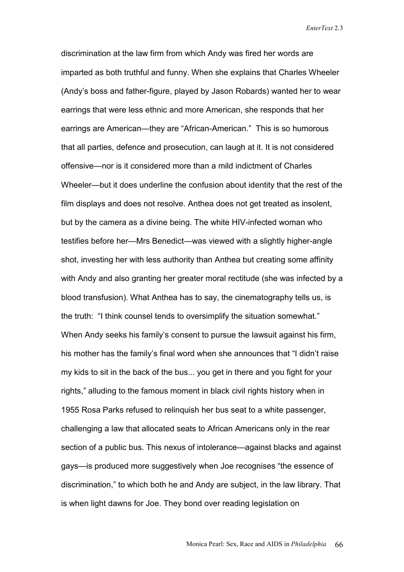discrimination at the law firm from which Andy was fired her words are imparted as both truthful and funny. When she explains that Charles Wheeler (Andy's boss and father-figure, played by Jason Robards) wanted her to wear earrings that were less ethnic and more American, she responds that her earrings are American—they are "African-American." This is so humorous that all parties, defence and prosecution, can laugh at it. It is not considered offensive—nor is it considered more than a mild indictment of Charles Wheeler—but it does underline the confusion about identity that the rest of the film displays and does not resolve. Anthea does not get treated as insolent, but by the camera as a divine being. The white HIV-infected woman who testifies before her—Mrs Benedict—was viewed with a slightly higher-angle shot, investing her with less authority than Anthea but creating some affinity with Andy and also granting her greater moral rectitude (she was infected by a blood transfusion). What Anthea has to say, the cinematography tells us, is the truth: "I think counsel tends to oversimplify the situation somewhat." When Andy seeks his family's consent to pursue the lawsuit against his firm, his mother has the family's final word when she announces that "I didn't raise my kids to sit in the back of the bus... you get in there and you fight for your rights," alluding to the famous moment in black civil rights history when in 1955 Rosa Parks refused to relinquish her bus seat to a white passenger, challenging a law that allocated seats to African Americans only in the rear section of a public bus. This nexus of intolerance—against blacks and against gays—is produced more suggestively when Joe recognises "the essence of discrimination," to which both he and Andy are subject, in the law library. That is when light dawns for Joe. They bond over reading legislation on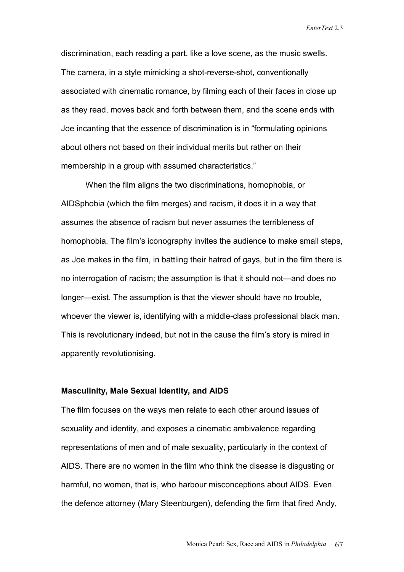discrimination, each reading a part, like a love scene, as the music swells. The camera, in a style mimicking a shot-reverse-shot, conventionally associated with cinematic romance, by filming each of their faces in close up as they read, moves back and forth between them, and the scene ends with Joe incanting that the essence of discrimination is in "formulating opinions about others not based on their individual merits but rather on their membership in a group with assumed characteristics."

 When the film aligns the two discriminations, homophobia, or AIDSphobia (which the film merges) and racism, it does it in a way that assumes the absence of racism but never assumes the terribleness of homophobia. The film's iconography invites the audience to make small steps, as Joe makes in the film, in battling their hatred of gays, but in the film there is no interrogation of racism; the assumption is that it should not—and does no longer—exist. The assumption is that the viewer should have no trouble, whoever the viewer is, identifying with a middle-class professional black man. This is revolutionary indeed, but not in the cause the film's story is mired in apparently revolutionising.

#### **Masculinity, Male Sexual Identity, and AIDS**

The film focuses on the ways men relate to each other around issues of sexuality and identity, and exposes a cinematic ambivalence regarding representations of men and of male sexuality, particularly in the context of AIDS. There are no women in the film who think the disease is disgusting or harmful, no women, that is, who harbour misconceptions about AIDS. Even the defence attorney (Mary Steenburgen), defending the firm that fired Andy,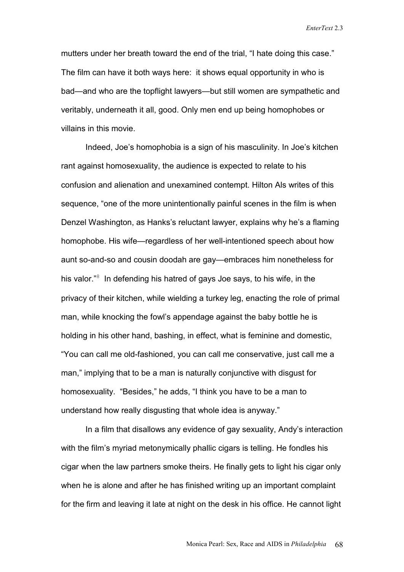mutters under her breath toward the end of the trial, "I hate doing this case." The film can have it both ways here: it shows equal opportunity in who is bad—and who are the topflight lawyers—but still women are sympathetic and veritably, underneath it all, good. Only men end up being homophobes or villains in this movie.

 Indeed, Joe's homophobia is a sign of his masculinity. In Joe's kitchen rant against homosexuality, the audience is expected to relate to his confusion and alienation and unexamined contempt. Hilton Als writes of this sequence, "one of the more unintentionally painful scenes in the film is when Denzel Washington, as Hanks's reluctant lawyer, explains why he's a flaming homophobe. His wife—regardless of her well-intentioned speech about how aunt so-and-so and cousin doodah are gay—embraces him nonetheless for his valor."<sup>8</sup> In defending his hatred of gays Joe says, to his wife, in the privacy of their kitchen, while wielding a turkey leg, enacting the role of primal man, while knocking the fowl's appendage against the baby bottle he is holding in his other hand, bashing, in effect, what is feminine and domestic, "You can call me old-fashioned, you can call me conservative, just call me a man," implying that to be a man is naturally conjunctive with disgust for homosexuality. "Besides," he adds, "I think you have to be a man to understand how really disgusting that whole idea is anyway."

 In a film that disallows any evidence of gay sexuality, Andy's interaction with the film's myriad metonymically phallic cigars is telling. He fondles his cigar when the law partners smoke theirs. He finally gets to light his cigar only when he is alone and after he has finished writing up an important complaint for the firm and leaving it late at night on the desk in his office. He cannot light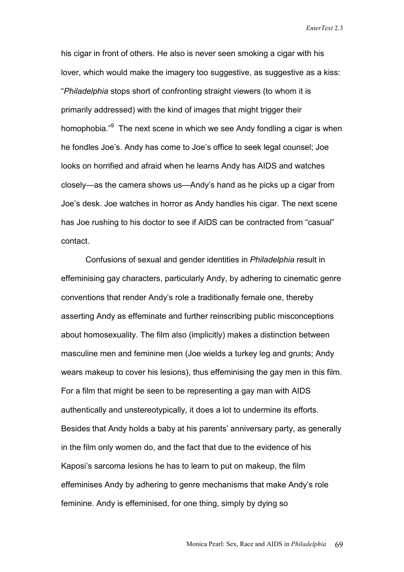his cigar in front of others. He also is never seen smoking a cigar with his lover, which would make the imagery too suggestive, as suggestive as a kiss: "*Philadelphia* stops short of confronting straight viewers (to whom it is primarily addressed) with the kind of images that might trigger their homophobia."<sup>9</sup> The next scene in which we see Andy fondling a cigar is when he fondles Joe's. Andy has come to Joe's office to seek legal counsel; Joe looks on horrified and afraid when he learns Andy has AIDS and watches closely—as the camera shows us—Andy's hand as he picks up a cigar from Joe's desk. Joe watches in horror as Andy handles his cigar. The next scene has Joe rushing to his doctor to see if AIDS can be contracted from "casual" contact.

 Confusions of sexual and gender identities in *Philadelphia* result in effeminising gay characters, particularly Andy, by adhering to cinematic genre conventions that render Andy's role a traditionally female one, thereby asserting Andy as effeminate and further reinscribing public misconceptions about homosexuality. The film also (implicitly) makes a distinction between masculine men and feminine men (Joe wields a turkey leg and grunts; Andy wears makeup to cover his lesions), thus effeminising the gay men in this film. For a film that might be seen to be representing a gay man with AIDS authentically and unstereotypically, it does a lot to undermine its efforts. Besides that Andy holds a baby at his parents' anniversary party, as generally in the film only women do, and the fact that due to the evidence of his Kaposi's sarcoma lesions he has to learn to put on makeup, the film effeminises Andy by adhering to genre mechanisms that make Andy's role feminine. Andy is effeminised, for one thing, simply by dying so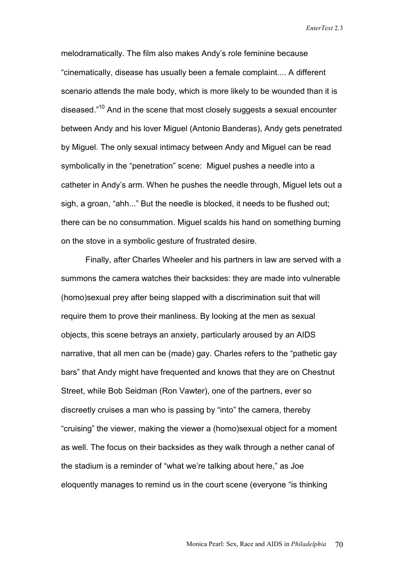melodramatically. The film also makes Andy's role feminine because "cinematically, disease has usually been a female complaint.... A different scenario attends the male body, which is more likely to be wounded than it is diseased."10 And in the scene that most closely suggests a sexual encounter between Andy and his lover Miguel (Antonio Banderas), Andy gets penetrated by Miguel. The only sexual intimacy between Andy and Miguel can be read symbolically in the "penetration" scene: Miguel pushes a needle into a catheter in Andy's arm. When he pushes the needle through, Miguel lets out a sigh, a groan, "ahh..." But the needle is blocked, it needs to be flushed out; there can be no consummation. Miguel scalds his hand on something burning on the stove in a symbolic gesture of frustrated desire.

 Finally, after Charles Wheeler and his partners in law are served with a summons the camera watches their backsides: they are made into vulnerable (homo)sexual prey after being slapped with a discrimination suit that will require them to prove their manliness. By looking at the men as sexual objects, this scene betrays an anxiety, particularly aroused by an AIDS narrative, that all men can be (made) gay. Charles refers to the "pathetic gay bars" that Andy might have frequented and knows that they are on Chestnut Street, while Bob Seidman (Ron Vawter), one of the partners, ever so discreetly cruises a man who is passing by "into" the camera, thereby "cruising" the viewer, making the viewer a (homo)sexual object for a moment as well. The focus on their backsides as they walk through a nether canal of the stadium is a reminder of "what we're talking about here," as Joe eloquently manages to remind us in the court scene (everyone "is thinking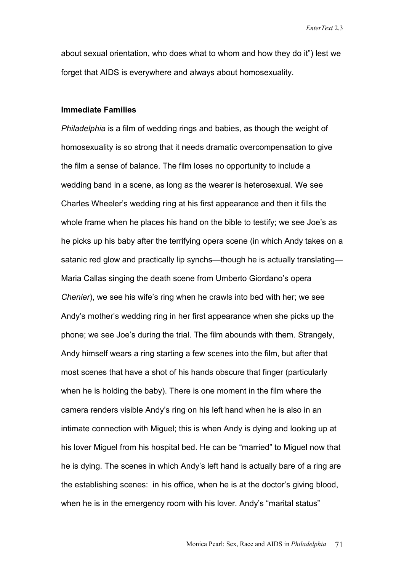about sexual orientation, who does what to whom and how they do it") lest we forget that AIDS is everywhere and always about homosexuality.

## **Immediate Families**

*Philadelphia* is a film of wedding rings and babies, as though the weight of homosexuality is so strong that it needs dramatic overcompensation to give the film a sense of balance. The film loses no opportunity to include a wedding band in a scene, as long as the wearer is heterosexual. We see Charles Wheeler's wedding ring at his first appearance and then it fills the whole frame when he places his hand on the bible to testify; we see Joe's as he picks up his baby after the terrifying opera scene (in which Andy takes on a satanic red glow and practically lip synchs—though he is actually translating— Maria Callas singing the death scene from Umberto Giordano's opera *Chenier*), we see his wife's ring when he crawls into bed with her; we see Andy's mother's wedding ring in her first appearance when she picks up the phone; we see Joe's during the trial. The film abounds with them. Strangely, Andy himself wears a ring starting a few scenes into the film, but after that most scenes that have a shot of his hands obscure that finger (particularly when he is holding the baby). There is one moment in the film where the camera renders visible Andy's ring on his left hand when he is also in an intimate connection with Miguel; this is when Andy is dying and looking up at his lover Miguel from his hospital bed. He can be "married" to Miguel now that he is dying. The scenes in which Andy's left hand is actually bare of a ring are the establishing scenes: in his office, when he is at the doctor's giving blood, when he is in the emergency room with his lover. Andy's "marital status"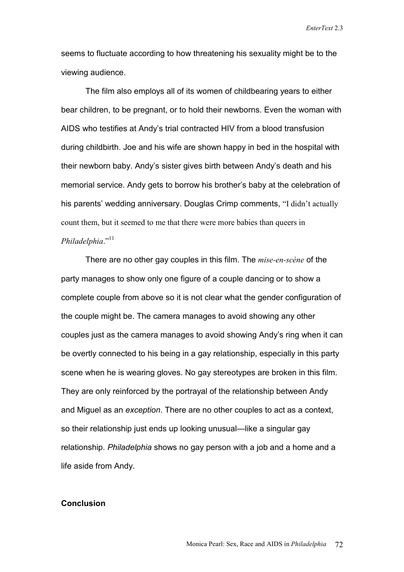seems to fluctuate according to how threatening his sexuality might be to the viewing audience.

 The film also employs all of its women of childbearing years to either bear children, to be pregnant, or to hold their newborns. Even the woman with AIDS who testifies at Andy's trial contracted HIV from a blood transfusion during childbirth. Joe and his wife are shown happy in bed in the hospital with their newborn baby. Andy's sister gives birth between Andy's death and his memorial service. Andy gets to borrow his brother's baby at the celebration of his parents' wedding anniversary. Douglas Crimp comments, "I didn't actually count them, but it seemed to me that there were more babies than queers in *Philadelphia*."11

 There are no other gay couples in this film. The *mise-en-scène* of the party manages to show only one figure of a couple dancing or to show a complete couple from above so it is not clear what the gender configuration of the couple might be. The camera manages to avoid showing any other couples just as the camera manages to avoid showing Andy's ring when it can be overtly connected to his being in a gay relationship, especially in this party scene when he is wearing gloves. No gay stereotypes are broken in this film. They are only reinforced by the portrayal of the relationship between Andy and Miguel as an *exception*. There are no other couples to act as a context, so their relationship just ends up looking unusual—like a singular gay relationship. *Philadelphia* shows no gay person with a job and a home and a life aside from Andy.

## **Conclusion**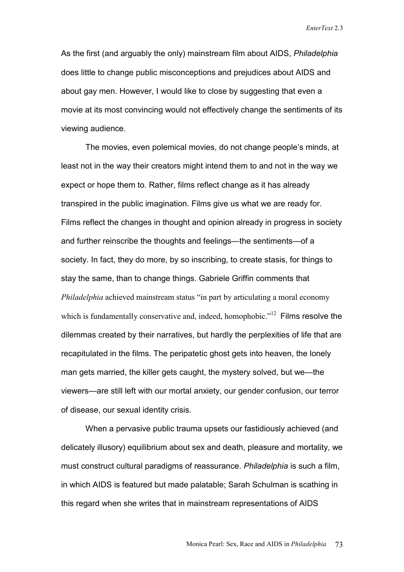As the first (and arguably the only) mainstream film about AIDS, *Philadelphia* does little to change public misconceptions and prejudices about AIDS and about gay men. However, I would like to close by suggesting that even a movie at its most convincing would not effectively change the sentiments of its viewing audience.

 The movies, even polemical movies, do not change people's minds, at least not in the way their creators might intend them to and not in the way we expect or hope them to. Rather, films reflect change as it has already transpired in the public imagination. Films give us what we are ready for. Films reflect the changes in thought and opinion already in progress in society and further reinscribe the thoughts and feelings—the sentiments—of a society. In fact, they do more, by so inscribing, to create stasis, for things to stay the same, than to change things. Gabriele Griffin comments that *Philadelphia* achieved mainstream status "in part by articulating a moral economy which is fundamentally conservative and, indeed, homophobic."<sup>12</sup> Films resolve the dilemmas created by their narratives, but hardly the perplexities of life that are recapitulated in the films. The peripatetic ghost gets into heaven, the lonely man gets married, the killer gets caught, the mystery solved, but we—the viewers—are still left with our mortal anxiety, our gender confusion, our terror of disease, our sexual identity crisis.

 When a pervasive public trauma upsets our fastidiously achieved (and delicately illusory) equilibrium about sex and death, pleasure and mortality, we must construct cultural paradigms of reassurance. *Philadelphia* is such a film, in which AIDS is featured but made palatable; Sarah Schulman is scathing in this regard when she writes that in mainstream representations of AIDS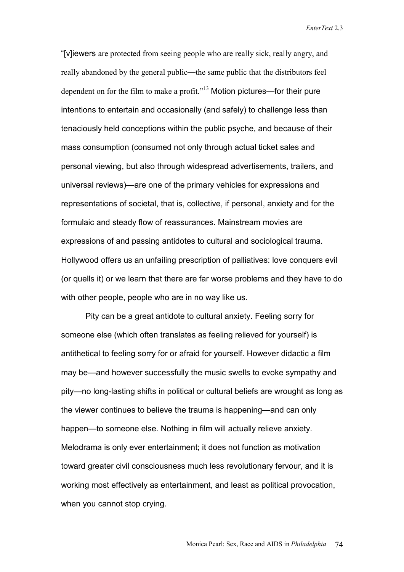"[v]iewers are protected from seeing people who are really sick, really angry, and really abandoned by the general public—the same public that the distributors feel dependent on for the film to make a profit."<sup>13</sup> Motion pictures—for their pure intentions to entertain and occasionally (and safely) to challenge less than tenaciously held conceptions within the public psyche, and because of their mass consumption (consumed not only through actual ticket sales and personal viewing, but also through widespread advertisements, trailers, and universal reviews)—are one of the primary vehicles for expressions and representations of societal, that is, collective, if personal, anxiety and for the formulaic and steady flow of reassurances. Mainstream movies are expressions of and passing antidotes to cultural and sociological trauma. Hollywood offers us an unfailing prescription of palliatives: love conquers evil (or quells it) or we learn that there are far worse problems and they have to do with other people, people who are in no way like us.

 Pity can be a great antidote to cultural anxiety. Feeling sorry for someone else (which often translates as feeling relieved for yourself) is antithetical to feeling sorry for or afraid for yourself. However didactic a film may be—and however successfully the music swells to evoke sympathy and pity—no long-lasting shifts in political or cultural beliefs are wrought as long as the viewer continues to believe the trauma is happening—and can only happen—to someone else. Nothing in film will actually relieve anxiety. Melodrama is only ever entertainment; it does not function as motivation toward greater civil consciousness much less revolutionary fervour, and it is working most effectively as entertainment, and least as political provocation, when you cannot stop crying.